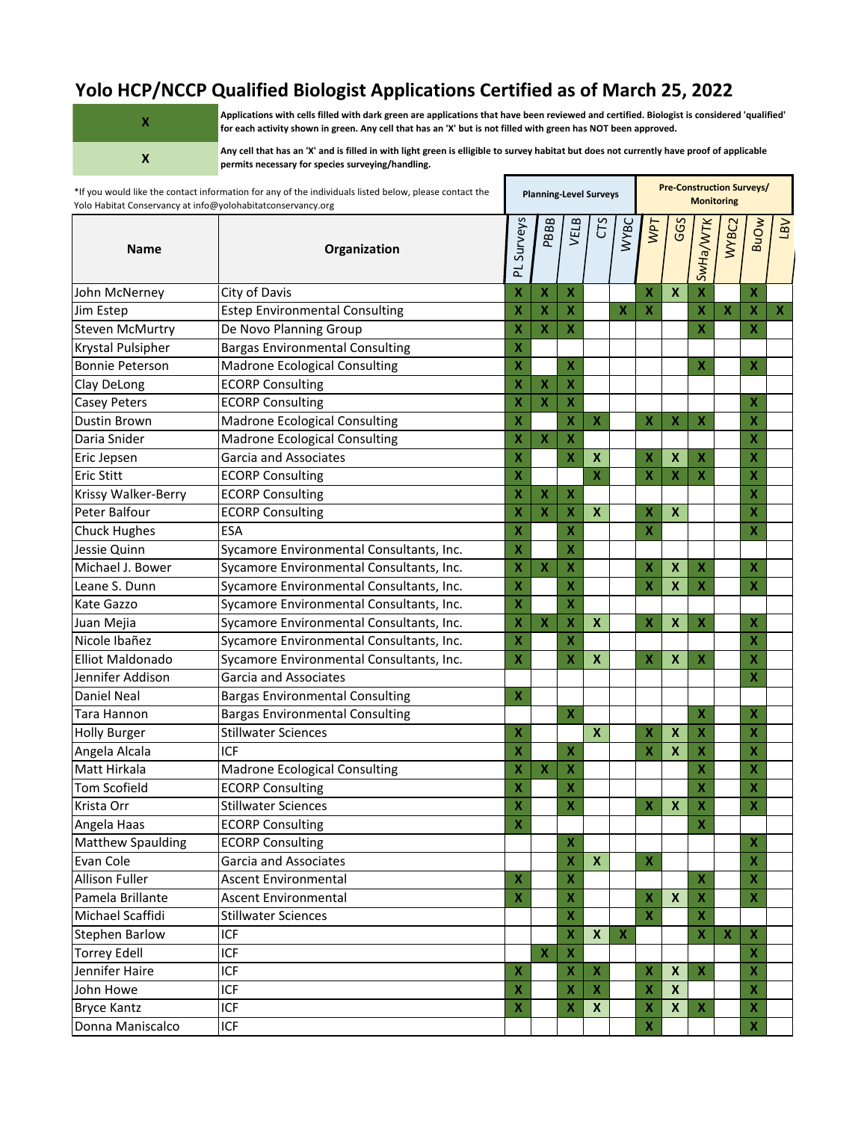## **Yolo HCP/NCCP Qualified Biologist Applications Certified as of March 25, 2022**

| $\mathbf x$  |
|--------------|
| $\mathbf{x}$ |

**Applications with cells filled with dark green are applications that have been reviewed and certified. Biologist is considered 'qualified' for each activity shown in green. Any cell that has an 'X' but is not filled with green has NOT been approved.**

**Any cell that has an 'X' and is filled in with light green is elligible to survey habitat but does not currently have proof of applicable permits necessary for species surveying/handling.**

| Surveys<br>PBBB<br>VELB<br>CTS<br>GGS<br> SwHa/WTK <br><b>BuOw</b><br><b>WYBC</b><br>WPT<br>WYBC2<br><b>Name</b><br>Organization<br>군<br>$\boldsymbol{\mathsf{x}}$<br>$\boldsymbol{\mathsf{x}}$<br>X<br>John McNerney<br>City of Davis<br>X<br>х<br>x<br>X<br>$\pmb{\mathsf{X}}$<br><b>Estep Environmental Consulting</b><br>X<br>X<br>$\boldsymbol{\mathsf{x}}$<br>Jim Estep<br>X<br>X<br>$\boldsymbol{\mathsf{X}}$<br>$\boldsymbol{X}$<br>De Novo Planning Group<br>$\overline{\mathbf{X}}$<br>$\mathbf x$<br>$\overline{\mathbf{X}}$<br>X<br>X<br><b>Steven McMurtry</b> | <b>VB7</b><br>x |
|-----------------------------------------------------------------------------------------------------------------------------------------------------------------------------------------------------------------------------------------------------------------------------------------------------------------------------------------------------------------------------------------------------------------------------------------------------------------------------------------------------------------------------------------------------------------------------|-----------------|
|                                                                                                                                                                                                                                                                                                                                                                                                                                                                                                                                                                             |                 |
|                                                                                                                                                                                                                                                                                                                                                                                                                                                                                                                                                                             |                 |
|                                                                                                                                                                                                                                                                                                                                                                                                                                                                                                                                                                             |                 |
|                                                                                                                                                                                                                                                                                                                                                                                                                                                                                                                                                                             |                 |
| <b>Bargas Environmental Consulting</b><br>X<br>Krystal Pulsipher                                                                                                                                                                                                                                                                                                                                                                                                                                                                                                            |                 |
| X<br><b>Madrone Ecological Consulting</b><br>x<br>X<br>$\boldsymbol{X}$<br><b>Bonnie Peterson</b>                                                                                                                                                                                                                                                                                                                                                                                                                                                                           |                 |
| X<br>$\boldsymbol{\mathsf{X}}$<br><b>ECORP Consulting</b><br>X<br>Clay DeLong                                                                                                                                                                                                                                                                                                                                                                                                                                                                                               |                 |
| X<br>X<br>X<br>Casey Peters<br><b>ECORP Consulting</b><br>X                                                                                                                                                                                                                                                                                                                                                                                                                                                                                                                 |                 |
| <b>Madrone Ecological Consulting</b><br>X<br>X<br>X<br>Dustin Brown<br>X<br>x<br>$\boldsymbol{\mathsf{X}}$<br>X                                                                                                                                                                                                                                                                                                                                                                                                                                                             |                 |
| Madrone Ecological Consulting<br>X<br>$\pmb{\mathsf{X}}$<br>X<br>X<br>Daria Snider                                                                                                                                                                                                                                                                                                                                                                                                                                                                                          |                 |
| X<br>$\boldsymbol{\mathsf{X}}$<br>X<br>Garcia and Associates<br>X<br>$\boldsymbol{\mathsf{x}}$<br>X<br>$\pmb{\mathsf{X}}$<br>Eric Jepsen                                                                                                                                                                                                                                                                                                                                                                                                                                    |                 |
| Eric Stitt<br>X<br>X<br>X<br>$\boldsymbol{\mathsf{x}}$<br>X<br><b>ECORP Consulting</b><br>х                                                                                                                                                                                                                                                                                                                                                                                                                                                                                 |                 |
| X<br>Krissy Walker-Berry<br><b>ECORP Consulting</b><br>X<br>x<br>$\boldsymbol{\mathsf{x}}$                                                                                                                                                                                                                                                                                                                                                                                                                                                                                  |                 |
| Peter Balfour<br>X<br>$\boldsymbol{\mathsf{x}}$<br>X<br>$\boldsymbol{\mathsf{x}}$<br>X<br><b>ECORP Consulting</b><br>X<br>х                                                                                                                                                                                                                                                                                                                                                                                                                                                 |                 |
| <b>ESA</b><br>X<br><b>Chuck Hughes</b><br>X<br>x<br>X                                                                                                                                                                                                                                                                                                                                                                                                                                                                                                                       |                 |
| X<br>Sycamore Environmental Consultants, Inc.<br>X<br>Jessie Quinn                                                                                                                                                                                                                                                                                                                                                                                                                                                                                                          |                 |
| X<br>Sycamore Environmental Consultants, Inc.<br>X<br>X<br>$\boldsymbol{\mathsf{x}}$<br>$\boldsymbol{\mathsf{x}}$<br>X<br>Michael J. Bower<br>Χ                                                                                                                                                                                                                                                                                                                                                                                                                             |                 |
| X<br>$\pmb{\mathsf{X}}$<br>X<br>X<br>$\boldsymbol{\mathsf{x}}$<br>Sycamore Environmental Consultants, Inc.<br>$\boldsymbol{\mathsf{x}}$<br>Leane S. Dunn                                                                                                                                                                                                                                                                                                                                                                                                                    |                 |
| X<br>X<br>Kate Gazzo<br>Sycamore Environmental Consultants, Inc.                                                                                                                                                                                                                                                                                                                                                                                                                                                                                                            |                 |
| X<br>X<br>$\boldsymbol{\mathsf{x}}$<br>$\pmb{\mathsf{X}}$<br>X<br>Sycamore Environmental Consultants, Inc.<br>Χ<br>$\boldsymbol{x}$<br>Juan Mejia<br>x                                                                                                                                                                                                                                                                                                                                                                                                                      |                 |
| Nicole Ibañez<br>X<br>X<br>Sycamore Environmental Consultants, Inc.<br>X                                                                                                                                                                                                                                                                                                                                                                                                                                                                                                    |                 |
| <b>Elliot Maldonado</b><br>Sycamore Environmental Consultants, Inc.<br>X<br>$\pmb{\mathsf{X}}$<br>X<br>$\boldsymbol{\mathsf{x}}$<br>X<br>X<br>$\boldsymbol{\mathsf{X}}$                                                                                                                                                                                                                                                                                                                                                                                                     |                 |
| X<br>Jennifer Addison<br>Garcia and Associates                                                                                                                                                                                                                                                                                                                                                                                                                                                                                                                              |                 |
| Bargas Environmental Consulting<br><b>Daniel Neal</b><br>X                                                                                                                                                                                                                                                                                                                                                                                                                                                                                                                  |                 |
| <b>Bargas Environmental Consulting</b><br>Tara Hannon<br>X<br>$\boldsymbol{\mathsf{X}}$<br>$\mathbf x$                                                                                                                                                                                                                                                                                                                                                                                                                                                                      |                 |
| X<br>$\pmb{\mathsf{X}}$<br>X<br><b>Stillwater Sciences</b><br>$\boldsymbol{\mathsf{x}}$<br>x<br>$\boldsymbol{\mathsf{x}}$<br><b>Holly Burger</b>                                                                                                                                                                                                                                                                                                                                                                                                                            |                 |
| Angela Alcala<br>ICF<br>X<br>X<br>X<br>$\boldsymbol{\mathsf{x}}$<br>$\boldsymbol{\mathsf{x}}$<br>X                                                                                                                                                                                                                                                                                                                                                                                                                                                                          |                 |
| Matt Hirkala<br><b>Madrone Ecological Consulting</b><br>$\boldsymbol{\mathsf{x}}$<br>X<br>X<br>X<br>x                                                                                                                                                                                                                                                                                                                                                                                                                                                                       |                 |
| Tom Scofield<br><b>ECORP Consulting</b><br>X<br>X<br>X<br>Χ                                                                                                                                                                                                                                                                                                                                                                                                                                                                                                                 |                 |
| $\boldsymbol{\mathsf{X}}$<br>$\boldsymbol{\mathsf{X}}$<br>X<br>X<br>X<br>X<br><b>Stillwater Sciences</b><br>Krista Orr                                                                                                                                                                                                                                                                                                                                                                                                                                                      |                 |
| <b>ECORP Consulting</b><br>$\pmb{\mathsf{X}}$<br>$\pmb{\mathsf{X}}$<br>Angela Haas                                                                                                                                                                                                                                                                                                                                                                                                                                                                                          |                 |
| <b>Matthew Spaulding</b><br><b>ECORP Consulting</b><br>$\pmb{\mathsf{X}}$<br>$\pmb{\mathsf{X}}$                                                                                                                                                                                                                                                                                                                                                                                                                                                                             |                 |
| Garcia and Associates<br>Evan Cole<br>$\boldsymbol{x}$<br>$\pmb{\mathsf{X}}$<br>$\boldsymbol{\mathsf{x}}$<br>X                                                                                                                                                                                                                                                                                                                                                                                                                                                              |                 |
| Allison Fuller<br>Ascent Environmental<br>X<br>$\pmb{\mathsf{X}}$<br>$\boldsymbol{\mathsf{x}}$<br>X                                                                                                                                                                                                                                                                                                                                                                                                                                                                         |                 |
| $\pmb{\mathsf{X}}$<br>$\mathbf{x}$<br>$\mathbf x$<br>Pamela Brillante<br>Ascent Environmental<br>X<br>$\pmb{\mathsf{X}}$<br>X                                                                                                                                                                                                                                                                                                                                                                                                                                               |                 |
| Michael Scaffidi<br>$\mathbf x$<br>$\mathbf x$<br><b>Stillwater Sciences</b><br>X                                                                                                                                                                                                                                                                                                                                                                                                                                                                                           |                 |
| <b>Stephen Barlow</b><br><b>ICF</b><br>$\boldsymbol{\mathsf{X}}$<br>$\boldsymbol{\mathsf{X}}$<br>$\mathbf x$<br>$\boldsymbol{X}$<br>$\boldsymbol{\mathsf{X}}$<br>$\boldsymbol{\mathsf{X}}$                                                                                                                                                                                                                                                                                                                                                                                  |                 |
| <b>Torrey Edell</b><br><b>ICF</b><br>$\boldsymbol{\mathsf{X}}$<br>$\boldsymbol{\mathsf{x}}$<br>$\boldsymbol{\mathsf{X}}$                                                                                                                                                                                                                                                                                                                                                                                                                                                    |                 |
| Jennifer Haire<br><b>ICF</b><br>$\pmb{\mathsf{X}}$<br>$\pmb{\mathsf{X}}$<br>$\pmb{\mathsf{X}}$<br>$\boldsymbol{X}$<br>$\mathbf x$<br>$\boldsymbol{\mathsf{x}}$<br>X                                                                                                                                                                                                                                                                                                                                                                                                         |                 |
| John Howe<br><b>ICF</b><br>$\pmb{\mathsf{X}}$<br>$\pmb{\mathsf{X}}$<br>$\boldsymbol{X}$<br>$\pmb{\mathsf{X}}$<br>X<br>$\mathbf{x}$                                                                                                                                                                                                                                                                                                                                                                                                                                          |                 |
| $\pmb{\mathsf{X}}$<br>$\mathbf x$<br>$\pmb{\mathsf{X}}$<br><b>Bryce Kantz</b><br><b>ICF</b><br>X<br>$\mathsf{x}$<br>$\pmb{\mathsf{X}}$<br>$\pmb{\mathsf{X}}$                                                                                                                                                                                                                                                                                                                                                                                                                |                 |
| $\bar{\mathbf{X}}$<br><b>ICF</b><br>$\pmb{\mathsf{X}}$<br>Donna Maniscalco                                                                                                                                                                                                                                                                                                                                                                                                                                                                                                  |                 |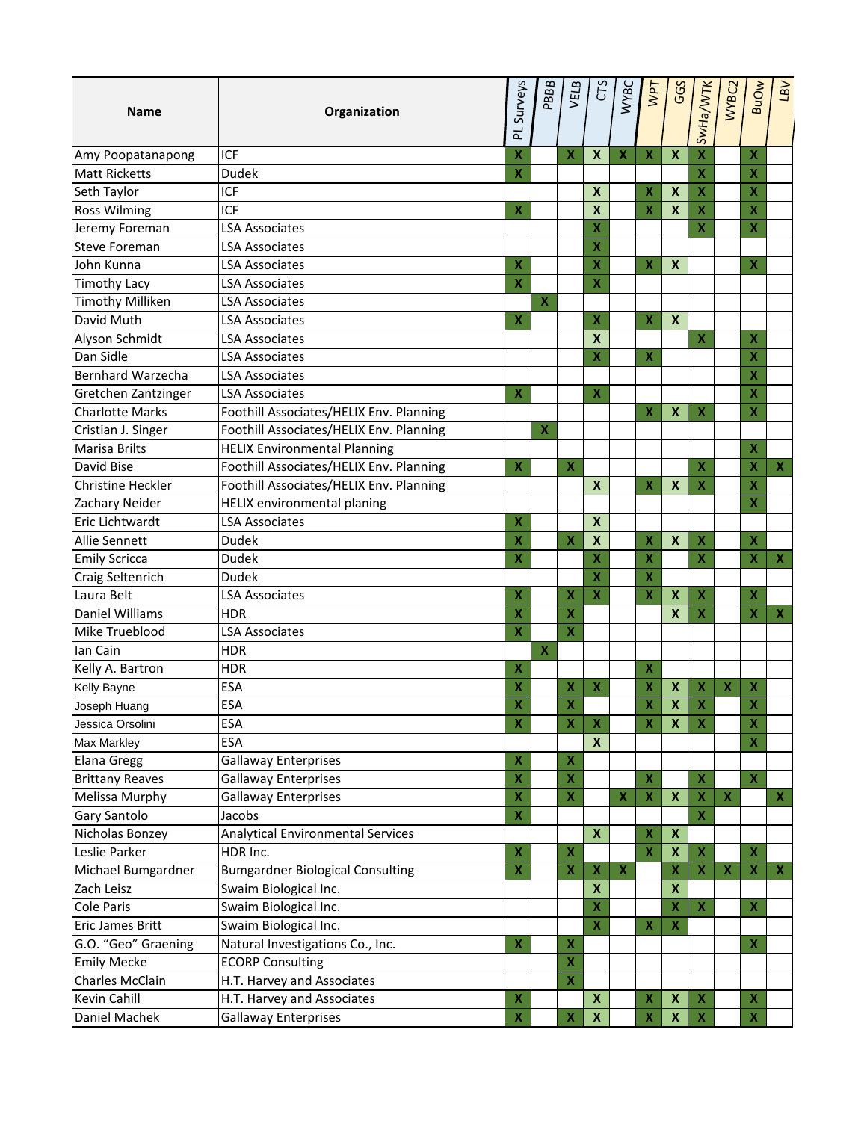| <b>Name</b>              | Organization                            | Surveys<br>군              | PBBB                    | VELB                      | CS                        | <b>WYBC</b>        | <b>NPT</b>                | GGS                       | SwHa/WTK                  | WYBC2                     | <b>BuOw</b>               | <b>VB7</b>                |
|--------------------------|-----------------------------------------|---------------------------|-------------------------|---------------------------|---------------------------|--------------------|---------------------------|---------------------------|---------------------------|---------------------------|---------------------------|---------------------------|
| Amy Poopatanapong        | ICF                                     | X                         |                         | $\boldsymbol{\mathsf{X}}$ | $\boldsymbol{X}$          | $\pmb{\mathsf{X}}$ | $\pmb{\mathsf{X}}$        | $\boldsymbol{X}$          | $\overline{\mathbf{X}}$   |                           | $\boldsymbol{\mathsf{X}}$ |                           |
| <b>Matt Ricketts</b>     | <b>Dudek</b>                            | X                         |                         |                           |                           |                    |                           |                           | $\mathbf x$               |                           | $\boldsymbol{\mathsf{x}}$ |                           |
| Seth Taylor              | <b>ICF</b>                              |                           |                         |                           | $\boldsymbol{\mathsf{x}}$ |                    | $\overline{\mathbf{X}}$   | $\boldsymbol{\mathsf{x}}$ | $\overline{\mathbf{X}}$   |                           | X                         |                           |
| <b>Ross Wilming</b>      | ICF                                     | x                         |                         |                           | $\boldsymbol{x}$          |                    | $\overline{\mathbf{x}}$   | $\boldsymbol{\mathsf{x}}$ | $\pmb{\mathsf{X}}$        |                           | $\overline{\mathbf{X}}$   |                           |
| Jeremy Foreman           | <b>LSA Associates</b>                   |                           |                         |                           | X                         |                    |                           |                           | X                         |                           | $\overline{\mathbf{X}}$   |                           |
| <b>Steve Foreman</b>     | LSA Associates                          |                           |                         |                           | X                         |                    |                           |                           |                           |                           |                           |                           |
| John Kunna               | <b>LSA Associates</b>                   | X                         |                         |                           | X                         |                    | $\pmb{\mathsf{X}}$        | $\boldsymbol{X}$          |                           |                           | X                         |                           |
| <b>Timothy Lacy</b>      | <b>LSA Associates</b>                   | $\pmb{\mathsf{X}}$        |                         |                           | X                         |                    |                           |                           |                           |                           |                           |                           |
| <b>Timothy Milliken</b>  | <b>LSA Associates</b>                   |                           | $\mathbf x$             |                           |                           |                    |                           |                           |                           |                           |                           |                           |
| David Muth               | <b>LSA Associates</b>                   | X                         |                         |                           | X                         |                    | $\pmb{\mathsf{X}}$        | $\boldsymbol{x}$          |                           |                           |                           |                           |
| Alyson Schmidt           | <b>LSA Associates</b>                   |                           |                         |                           | X                         |                    |                           |                           | $\boldsymbol{\mathsf{X}}$ |                           | $\mathbf x$               |                           |
| Dan Sidle                | LSA Associates                          |                           |                         |                           | X                         |                    | $\pmb{\mathsf{X}}$        |                           |                           |                           | X                         |                           |
| <b>Bernhard Warzecha</b> | <b>LSA Associates</b>                   |                           |                         |                           |                           |                    |                           |                           |                           |                           | X                         |                           |
| Gretchen Zantzinger      | <b>LSA Associates</b>                   | X                         |                         |                           | x                         |                    |                           |                           |                           |                           | $\boldsymbol{\mathsf{x}}$ |                           |
| <b>Charlotte Marks</b>   | Foothill Associates/HELIX Env. Planning |                           |                         |                           |                           |                    | $\mathbf x$               | $\boldsymbol{\mathsf{x}}$ | $\pmb{\mathsf{X}}$        |                           | $\overline{\mathbf{X}}$   |                           |
| Cristian J. Singer       | Foothill Associates/HELIX Env. Planning |                           | X                       |                           |                           |                    |                           |                           |                           |                           |                           |                           |
| Marisa Brilts            | <b>HELIX Environmental Planning</b>     |                           |                         |                           |                           |                    |                           |                           |                           |                           | $\boldsymbol{\mathsf{x}}$ |                           |
| David Bise               | Foothill Associates/HELIX Env. Planning | $\boldsymbol{\mathsf{x}}$ |                         | X                         |                           |                    |                           |                           | X                         |                           | $\pmb{\mathsf{X}}$        | x                         |
| <b>Christine Heckler</b> | Foothill Associates/HELIX Env. Planning |                           |                         |                           | $\boldsymbol{x}$          |                    | $\pmb{\mathsf{X}}$        | $\boldsymbol{\mathsf{x}}$ | $\pmb{\mathsf{X}}$        |                           | X                         |                           |
| Zachary Neider           | <b>HELIX</b> environmental planing      |                           |                         |                           |                           |                    |                           |                           |                           |                           | $\boldsymbol{\mathsf{x}}$ |                           |
| Eric Lichtwardt          | <b>LSA Associates</b>                   | X                         |                         |                           | $\boldsymbol{x}$          |                    |                           |                           |                           |                           |                           |                           |
| Allie Sennett            | <b>Dudek</b>                            | X                         |                         | X                         | $\boldsymbol{X}$          |                    | X                         | $\boldsymbol{\mathsf{x}}$ | $\boldsymbol{\mathsf{x}}$ |                           | $\boldsymbol{\mathsf{x}}$ |                           |
| <b>Emily Scricca</b>     | <b>Dudek</b>                            | X                         |                         |                           | X                         |                    | X                         |                           | $\overline{\mathbf{X}}$   |                           | $\pmb{\mathsf{X}}$        | x                         |
| Craig Seltenrich         | <b>Dudek</b>                            |                           |                         |                           | X                         |                    | X                         |                           |                           |                           |                           |                           |
| Laura Belt               | <b>LSA Associates</b>                   | X                         |                         | X                         | $\overline{\mathbf{X}}$   |                    | X                         | $\boldsymbol{\mathsf{x}}$ | $\boldsymbol{\mathsf{x}}$ |                           | $\boldsymbol{\mathsf{x}}$ |                           |
| Daniel Williams          | <b>HDR</b>                              | x                         |                         | X                         |                           |                    |                           | $\boldsymbol{\mathsf{x}}$ | X                         |                           | $\pmb{\mathsf{X}}$        | х                         |
| Mike Trueblood           | <b>LSA Associates</b>                   | X                         |                         | X                         |                           |                    |                           |                           |                           |                           |                           |                           |
| Ian Cain                 | <b>HDR</b>                              |                           | $\overline{\mathbf{X}}$ |                           |                           |                    |                           |                           |                           |                           |                           |                           |
| Kelly A. Bartron         | <b>HDR</b>                              | X                         |                         |                           |                           |                    | $\boldsymbol{\mathsf{x}}$ |                           |                           |                           |                           |                           |
| Kelly Bayne              | ESA                                     | X                         |                         | x                         | X                         |                    | X                         | $\boldsymbol{\mathsf{X}}$ | $\pmb{\mathsf{X}}$        | $\boldsymbol{\mathsf{x}}$ | $\boldsymbol{\mathsf{X}}$ |                           |
| Joseph Huang             | <b>ESA</b>                              | X                         |                         | X                         |                           |                    | $\overline{\mathbf{X}}$   | $\boldsymbol{\mathsf{X}}$ | $\overline{\mathbf{X}}$   |                           | X                         |                           |
| Jessica Orsolini         | <b>ESA</b>                              | X                         |                         | X                         | $\boldsymbol{\mathsf{X}}$ |                    | $\pmb{\mathsf{X}}$        | $\boldsymbol{\mathsf{x}}$ | $\boldsymbol{\mathsf{X}}$ |                           | х                         |                           |
| Max Markley              | <b>ESA</b>                              |                           |                         |                           | $\boldsymbol{x}$          |                    |                           |                           |                           |                           | $\boldsymbol{\mathsf{x}}$ |                           |
| Elana Gregg              | <b>Gallaway Enterprises</b>             | $\pmb{\mathsf{X}}$        |                         | X                         |                           |                    |                           |                           |                           |                           |                           |                           |
| <b>Brittany Reaves</b>   | <b>Gallaway Enterprises</b>             | X                         |                         | x                         |                           |                    | X                         |                           | $\pmb{\mathsf{X}}$        |                           | $\pmb{\mathsf{X}}$        |                           |
| Melissa Murphy           | <b>Gallaway Enterprises</b>             | X                         |                         | $\pmb{\mathsf{X}}$        |                           | $\pmb{\mathsf{X}}$ | $\boldsymbol{\mathsf{X}}$ | $\boldsymbol{x}$          | $\pmb{\mathsf{X}}$        | $\boldsymbol{\mathsf{X}}$ |                           | $\boldsymbol{\mathsf{X}}$ |
| Gary Santolo             | Jacobs                                  | $\pmb{\mathsf{X}}$        |                         |                           |                           |                    |                           |                           | $\pmb{\mathsf{X}}$        |                           |                           |                           |
| Nicholas Bonzey          | Analytical Environmental Services       |                           |                         |                           | $\boldsymbol{X}$          |                    | X                         | $\boldsymbol{x}$          |                           |                           |                           |                           |
| Leslie Parker            | HDR Inc.                                | $\pmb{\mathsf{X}}$        |                         | X                         |                           |                    | $\mathbf x$               | $\boldsymbol{\mathsf{x}}$ | $\boldsymbol{\mathsf{X}}$ |                           | $\mathbf x$               |                           |
| Michael Bumgardner       | <b>Bumgardner Biological Consulting</b> | $\pmb{\mathsf{X}}$        |                         | $\pmb{\mathsf{X}}$        | X                         | $\pmb{\mathsf{X}}$ |                           | $\mathbf x$               | $\mathbf x$               | $\boldsymbol{\mathsf{X}}$ | $\boldsymbol{\mathsf{X}}$ | $\boldsymbol{\mathsf{X}}$ |
| Zach Leisz               | Swaim Biological Inc.                   |                           |                         |                           | $\boldsymbol{\mathsf{x}}$ |                    |                           | $\boldsymbol{\mathsf{x}}$ |                           |                           |                           |                           |
| Cole Paris               | Swaim Biological Inc.                   |                           |                         |                           | $\pmb{\mathsf{X}}$        |                    |                           | $\boldsymbol{\mathsf{x}}$ | $\boldsymbol{\mathsf{X}}$ |                           | $\boldsymbol{\mathsf{X}}$ |                           |
| Eric James Britt         | Swaim Biological Inc.                   |                           |                         |                           | $\pmb{\mathsf{X}}$        |                    | $\pmb{\mathsf{X}}$        | $\boldsymbol{\mathsf{x}}$ |                           |                           |                           |                           |
| G.O. "Geo" Graening      | Natural Investigations Co., Inc.        | $\pmb{\mathsf{X}}$        |                         | x                         |                           |                    |                           |                           |                           |                           | $\pmb{\mathsf{X}}$        |                           |
| <b>Emily Mecke</b>       | <b>ECORP Consulting</b>                 |                           |                         | x                         |                           |                    |                           |                           |                           |                           |                           |                           |
| Charles McClain          | H.T. Harvey and Associates              |                           |                         | $\pmb{\mathsf{X}}$        |                           |                    |                           |                           |                           |                           |                           |                           |
| Kevin Cahill             | H.T. Harvey and Associates              | X                         |                         |                           | $\boldsymbol{x}$          |                    | X                         | $\pmb{\mathsf{X}}$        | $\pmb{\mathsf{X}}$        |                           | $\pmb{\mathsf{X}}$        |                           |
| Daniel Machek            | <b>Gallaway Enterprises</b>             | $\pmb{\mathsf{X}}$        |                         | X                         | $\pmb{\mathsf{X}}$        |                    | $\pmb{\mathsf{X}}$        | $\boldsymbol{\mathsf{X}}$ | $\pmb{\mathsf{X}}$        |                           | $\boldsymbol{\mathsf{X}}$ |                           |
|                          |                                         |                           |                         |                           |                           |                    |                           |                           |                           |                           |                           |                           |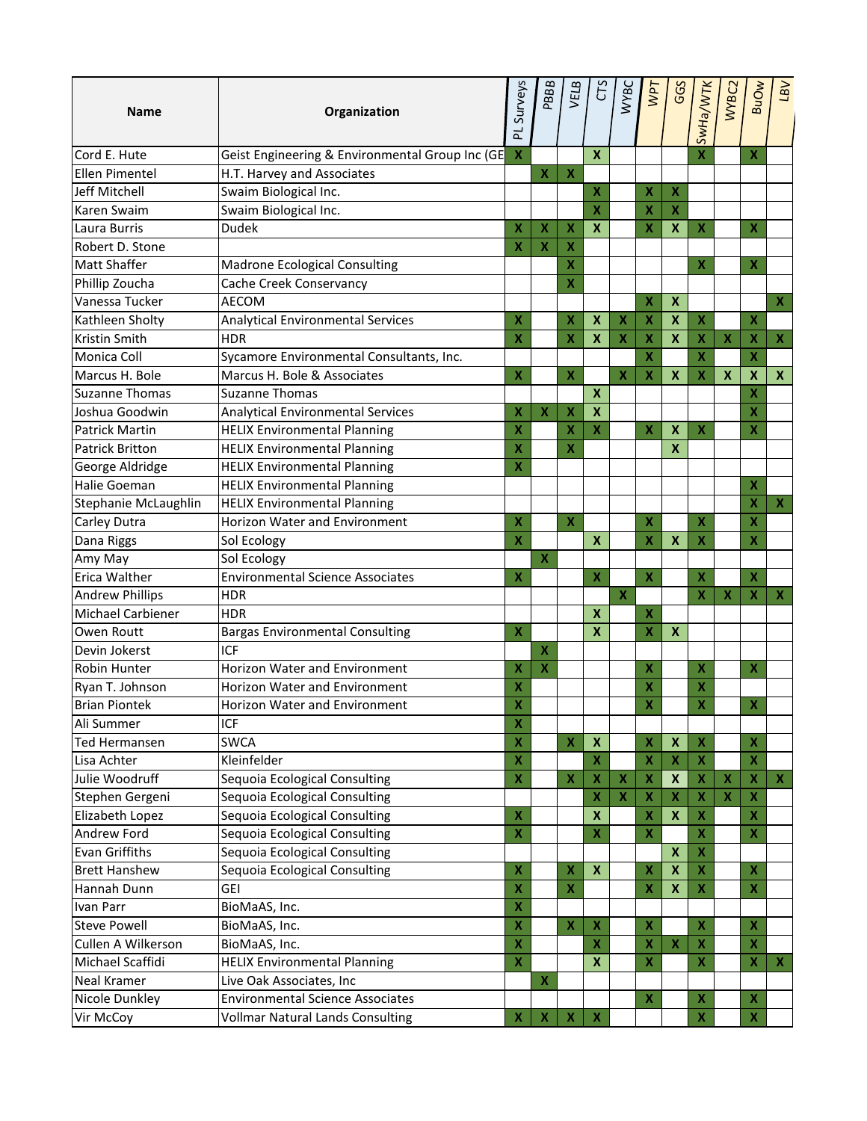| <b>Name</b>            | Organization                                    | PL Surveys                | PBBB                      | VELB                      | CTS                       | <b>WYBC</b>               | <b>VPT</b>                               | GGS                       | SwHa/WTK                  | WYBC2                     | <b>BuOw</b>               | <b>VB7</b>                |
|------------------------|-------------------------------------------------|---------------------------|---------------------------|---------------------------|---------------------------|---------------------------|------------------------------------------|---------------------------|---------------------------|---------------------------|---------------------------|---------------------------|
| Cord E. Hute           | Geist Engineering & Environmental Group Inc (GE | $\boldsymbol{\mathsf{X}}$ |                           |                           | $\boldsymbol{\mathsf{x}}$ |                           |                                          |                           | $\overline{\mathsf{X}}$   |                           | $\boldsymbol{\mathsf{X}}$ |                           |
| Ellen Pimentel         | H.T. Harvey and Associates                      |                           | $\overline{\mathbf{X}}$   | $\boldsymbol{\mathsf{X}}$ |                           |                           |                                          |                           |                           |                           |                           |                           |
| Jeff Mitchell          | Swaim Biological Inc.                           |                           |                           |                           | X                         |                           | $\pmb{\mathsf{X}}$                       | $\boldsymbol{\mathsf{X}}$ |                           |                           |                           |                           |
| Karen Swaim            | Swaim Biological Inc.                           |                           |                           |                           | $\overline{\mathbf{X}}$   |                           | $\overline{\mathbf{x}}$                  | $\boldsymbol{\mathsf{X}}$ |                           |                           |                           |                           |
| Laura Burris           | <b>Dudek</b>                                    | X                         | X                         | X                         | $\boldsymbol{\mathsf{x}}$ |                           | $\mathbf x$                              | $\boldsymbol{\mathsf{x}}$ | $\pmb{\mathsf{X}}$        |                           | $\pmb{\mathsf{X}}$        |                           |
| Robert D. Stone        |                                                 | x                         | $\boldsymbol{\mathsf{x}}$ | х                         |                           |                           |                                          |                           |                           |                           |                           |                           |
| <b>Matt Shaffer</b>    | Madrone Ecological Consulting                   |                           |                           | X                         |                           |                           |                                          |                           | X                         |                           | $\boldsymbol{X}$          |                           |
| Phillip Zoucha         | Cache Creek Conservancy                         |                           |                           | X                         |                           |                           |                                          |                           |                           |                           |                           |                           |
| Vanessa Tucker         | <b>AECOM</b>                                    |                           |                           |                           |                           |                           | $\pmb{\mathsf{X}}$                       | $\boldsymbol{\mathsf{x}}$ |                           |                           |                           | $\boldsymbol{\mathsf{x}}$ |
| Kathleen Sholty        | <b>Analytical Environmental Services</b>        | X                         |                           | X                         | $\boldsymbol{X}$          | $\pmb{\mathsf{X}}$        | $\boldsymbol{\mathsf{x}}$                | $\boldsymbol{\mathsf{x}}$ | $\pmb{\mathsf{X}}$        |                           | $\pmb{\mathsf{X}}$        |                           |
| Kristin Smith          | <b>HDR</b>                                      | X                         |                           | X                         | $\boldsymbol{X}$          | $\pmb{\mathsf{X}}$        | $\boldsymbol{\mathsf{x}}$                | $\boldsymbol{\mathsf{x}}$ | $\pmb{\mathsf{X}}$        | $\pmb{\mathsf{X}}$        | $\pmb{\mathsf{X}}$        | X                         |
| Monica Coll            | Sycamore Environmental Consultants, Inc.        |                           |                           |                           |                           |                           | X                                        |                           | X                         |                           | X                         |                           |
| Marcus H. Bole         | Marcus H. Bole & Associates                     | x                         |                           | $\mathbf x$               |                           | $\pmb{\mathsf{X}}$        | $\boldsymbol{\mathsf{x}}$                | $\mathbf{x}$              | $\pmb{\mathsf{X}}$        | $\mathbf x$               | $\pmb{\mathsf{X}}$        | $\boldsymbol{\mathsf{x}}$ |
| <b>Suzanne Thomas</b>  | <b>Suzanne Thomas</b>                           |                           |                           |                           | $\boldsymbol{\mathsf{x}}$ |                           |                                          |                           |                           |                           | X                         |                           |
| Joshua Goodwin         | <b>Analytical Environmental Services</b>        | X                         | X                         | X                         | $\boldsymbol{\mathsf{x}}$ |                           |                                          |                           |                           |                           | X                         |                           |
| <b>Patrick Martin</b>  | <b>HELIX Environmental Planning</b>             | X                         |                           | X                         | $\boldsymbol{\mathsf{X}}$ |                           | $\pmb{\mathsf{X}}$                       | $\boldsymbol{\mathsf{x}}$ | $\boldsymbol{\mathsf{X}}$ |                           | $\boldsymbol{\mathsf{X}}$ |                           |
| <b>Patrick Britton</b> | <b>HELIX Environmental Planning</b>             | X                         |                           | X                         |                           |                           |                                          | $\boldsymbol{\mathsf{x}}$ |                           |                           |                           |                           |
| George Aldridge        | <b>HELIX Environmental Planning</b>             | X                         |                           |                           |                           |                           |                                          |                           |                           |                           |                           |                           |
| <b>Halie Goeman</b>    | <b>HELIX Environmental Planning</b>             |                           |                           |                           |                           |                           |                                          |                           |                           |                           | x                         |                           |
| Stephanie McLaughlin   | <b>HELIX Environmental Planning</b>             |                           |                           |                           |                           |                           |                                          |                           |                           |                           | X                         | x                         |
| Carley Dutra           | Horizon Water and Environment                   | X                         |                           | $\overline{\mathsf{x}}$   |                           |                           | $\overline{\mathbf{X}}$                  |                           | $\mathbf x$               |                           | X                         |                           |
| Dana Riggs             | Sol Ecology                                     | X                         |                           |                           | $\mathbf{x}$              |                           | $\overline{\mathbf{X}}$                  | $\boldsymbol{x}$          | $\boldsymbol{\mathsf{x}}$ |                           | $\overline{\mathbf{X}}$   |                           |
| Amy May                | Sol Ecology                                     |                           | $\boldsymbol{\mathsf{x}}$ |                           |                           |                           |                                          |                           |                           |                           |                           |                           |
| Erica Walther          | <b>Environmental Science Associates</b>         | X                         |                           |                           | $\pmb{\mathsf{X}}$        |                           | $\pmb{\mathsf{X}}$                       |                           | $\pmb{\mathsf{X}}$        |                           | $\pmb{\mathsf{X}}$        |                           |
| <b>Andrew Phillips</b> | <b>HDR</b>                                      |                           |                           |                           |                           | $\boldsymbol{\mathsf{X}}$ |                                          |                           | $\pmb{\mathsf{X}}$        | $\boldsymbol{\mathsf{X}}$ | $\pmb{\mathsf{X}}$        | x                         |
| Michael Carbiener      | <b>HDR</b>                                      |                           |                           |                           | $\boldsymbol{X}$          |                           | X                                        |                           |                           |                           |                           |                           |
| Owen Routt             | <b>Bargas Environmental Consulting</b>          | $\pmb{\mathsf{X}}$        |                           |                           | $\boldsymbol{\mathsf{x}}$ |                           | $\overline{\mathbf{X}}$                  | $\boldsymbol{\mathsf{x}}$ |                           |                           |                           |                           |
| Devin Jokerst          | ICF                                             |                           | X                         |                           |                           |                           |                                          |                           |                           |                           |                           |                           |
| <b>Robin Hunter</b>    | Horizon Water and Environment                   | x                         | $\boldsymbol{\mathsf{x}}$ |                           |                           |                           | $\boldsymbol{\mathsf{x}}$                |                           | $\boldsymbol{\mathsf{X}}$ |                           | $\boldsymbol{X}$          |                           |
| Ryan T. Johnson        | Horizon Water and Environment                   | X                         |                           |                           |                           |                           | X                                        |                           | X                         |                           |                           |                           |
| <b>Brian Piontek</b>   | Horizon Water and Environment                   | x                         |                           |                           |                           |                           | X.                                       |                           | $\mathbf{x}$              |                           | X.                        |                           |
| Ali Summer             | ICF                                             | X                         |                           |                           |                           |                           |                                          |                           |                           |                           |                           |                           |
| <b>Ted Hermansen</b>   | <b>SWCA</b>                                     | X                         |                           | $\pmb{\mathsf{X}}$        | $\pmb{\mathsf{X}}$        |                           | $\pmb{\mathsf{X}}$                       | $\boldsymbol{\mathsf{x}}$ | $\pmb{\mathsf{X}}$        |                           | $\pmb{\mathsf{X}}$        |                           |
| Lisa Achter            | Kleinfelder                                     | X                         |                           |                           | $\overline{\mathbf{X}}$   |                           | $\overline{\mathbf{x}}$                  | $\boldsymbol{\mathsf{X}}$ | $\mathbf x$               |                           | $\overline{\mathbf{X}}$   |                           |
| Julie Woodruff         | Sequoia Ecological Consulting                   | X                         |                           | X                         | $\pmb{\mathsf{X}}$        | X                         | $\boldsymbol{\mathsf{X}}$                | $\pmb{\mathsf{X}}$        | $\pmb{\mathsf{X}}$        | $\boldsymbol{\mathsf{X}}$ | $\pmb{\mathsf{X}}$        | $\boldsymbol{\mathsf{X}}$ |
| Stephen Gergeni        | Sequoia Ecological Consulting                   |                           |                           |                           | $\pmb{\mathsf{X}}$        | $\boldsymbol{X}$          | $\pmb{\mathsf{x}}$                       | $\boldsymbol{\mathsf{X}}$ | $\pmb{\mathsf{X}}$        | $\boldsymbol{\mathsf{X}}$ | $\mathbf x$               |                           |
| Elizabeth Lopez        | Sequoia Ecological Consulting                   | X                         |                           |                           | $\boldsymbol{\mathsf{x}}$ |                           | $\pmb{\mathsf{X}}$                       | $\boldsymbol{\mathsf{X}}$ | $\pmb{\mathsf{X}}$        |                           | $\pmb{\mathsf{X}}$        |                           |
| Andrew Ford            | Sequoia Ecological Consulting                   | $\pmb{\mathsf{X}}$        |                           |                           | $\pmb{\mathsf{X}}$        |                           | $\pmb{\mathsf{X}}$                       |                           | $\pmb{\mathsf{X}}$        |                           | $\pmb{\mathsf{X}}$        |                           |
| <b>Evan Griffiths</b>  | Sequoia Ecological Consulting                   |                           |                           |                           |                           |                           |                                          | $\mathbf{x}$              | $\pmb{\mathsf{X}}$        |                           |                           |                           |
| <b>Brett Hanshew</b>   |                                                 | X                         |                           |                           | $\boldsymbol{\mathsf{x}}$ |                           |                                          | $\boldsymbol{\mathsf{x}}$ | $\pmb{\mathsf{X}}$        |                           | $\pmb{\mathsf{X}}$        |                           |
|                        | Sequoia Ecological Consulting<br><b>GEI</b>     | X                         |                           | X<br>$\pmb{\mathsf{X}}$   |                           |                           | $\pmb{\mathsf{X}}$<br>$\pmb{\mathsf{X}}$ |                           | $\mathbf x$               |                           | $\mathbf x$               |                           |
| Hannah Dunn            |                                                 |                           |                           |                           |                           |                           |                                          | $\boldsymbol{X}$          |                           |                           |                           |                           |
| Ivan Parr              | BioMaAS, Inc.                                   | X                         |                           |                           |                           |                           |                                          |                           |                           |                           |                           |                           |
| <b>Steve Powell</b>    | BioMaAS, Inc.                                   | X                         |                           | X                         | $\pmb{\mathsf{X}}$        |                           | $\pmb{\mathsf{X}}$                       |                           | $\pmb{\mathsf{X}}$        |                           | $\pmb{\mathsf{X}}$        |                           |
| Cullen A Wilkerson     | BioMaAS, Inc.                                   | X                         |                           |                           | $\boldsymbol{\mathsf{X}}$ |                           | X                                        | $\boldsymbol{X}$          | $\pmb{\mathsf{X}}$        |                           | X                         |                           |
| Michael Scaffidi       | <b>HELIX Environmental Planning</b>             | X                         |                           |                           | $\boldsymbol{\mathsf{x}}$ |                           | $\overline{\mathbf{X}}$                  |                           | $\pmb{\mathsf{X}}$        |                           | $\pmb{\mathsf{X}}$        | х                         |
| Neal Kramer            | Live Oak Associates, Inc                        |                           | $\overline{\mathbf{X}}$   |                           |                           |                           |                                          |                           |                           |                           |                           |                           |
| Nicole Dunkley         | <b>Environmental Science Associates</b>         |                           |                           |                           |                           |                           | X                                        |                           | $\pmb{\mathsf{X}}$        |                           | $\pmb{\mathsf{X}}$        |                           |
| Vir McCoy              | <b>Vollmar Natural Lands Consulting</b>         | X                         | $\mathbf x$               | $\pmb{\mathsf{X}}$        | $\boldsymbol{\mathsf{X}}$ |                           |                                          |                           | $\pmb{\mathsf{X}}$        |                           | $\pmb{\mathsf{X}}$        |                           |